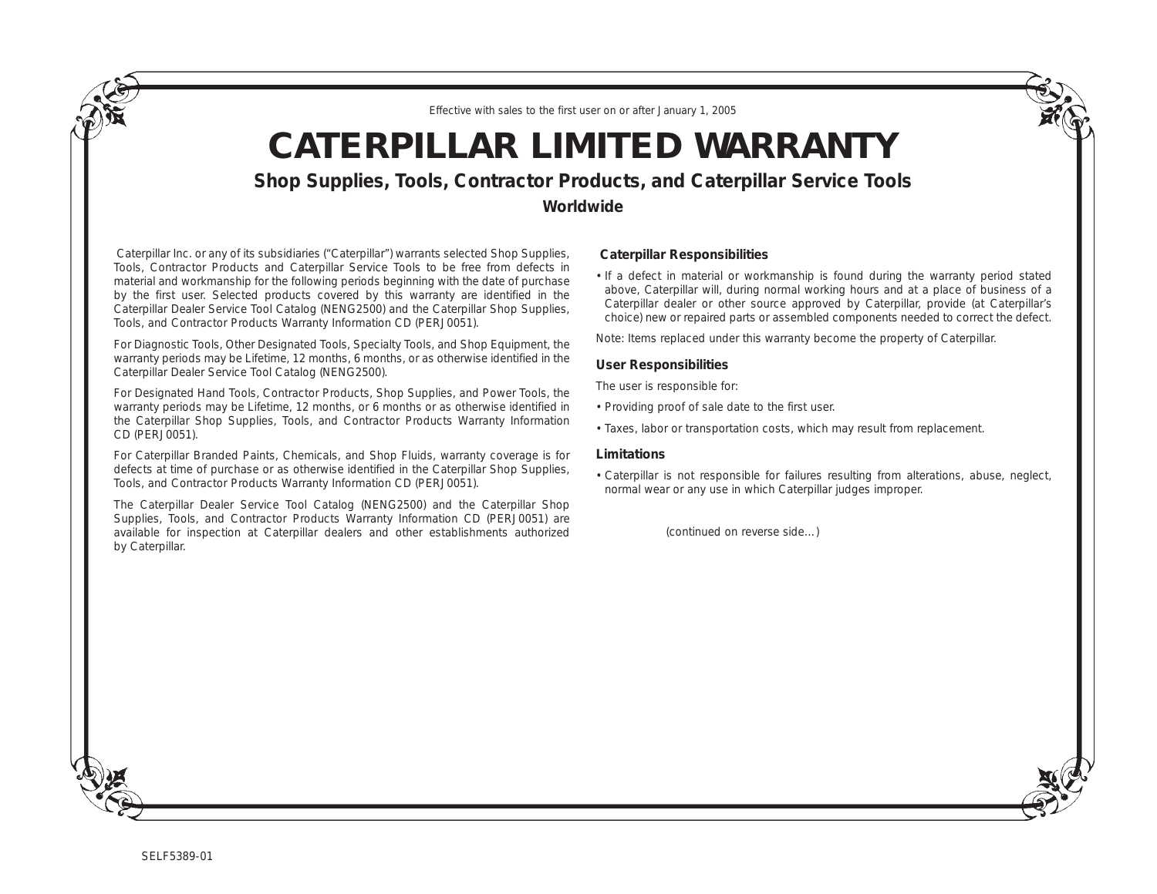*Effective with sales to the first user on or after January 1, 2005*

# **CATERPILLAR LIMITED WARRANTY**

**Shop Supplies, Tools, Contractor Products, and Caterpillar Service Tools**

**Worldwide**

Caterpillar Inc. or any of its subsidiaries ("Caterpillar") warrants selected Shop Supplies, Tools, Contractor Products and Caterpillar Service Tools to be free from defects in material and workmanship for the following periods beginning with the date of purchase by the first user. Selected products covered by this warranty are identified in the Caterpillar Dealer Service Tool Catalog (NENG2500) and the Caterpillar Shop Supplies, Tools, and Contractor Products Warranty Information CD (PERJ0051).

For Diagnostic Tools, Other Designated Tools, Specialty Tools, and Shop Equipment, the warranty periods may be Lifetime, 12 months, 6 months, or as otherwise identified in the Caterpillar Dealer Service Tool Catalog (NENG2500).

For Designated Hand Tools, Contractor Products, Shop Supplies, and Power Tools, the warranty periods may be Lifetime, 12 months, or 6 months or as otherwise identified in the Caterpillar Shop Supplies, Tools, and Contractor Products Warranty Information CD (PERJ0051).

For Caterpillar Branded Paints, Chemicals, and Shop Fluids, warranty coverage is for defects at time of purchase or as otherwise identified in the Caterpillar Shop Supplies, Tools, and Contractor Products Warranty Information CD (PERJ0051).

The Caterpillar Dealer Service Tool Catalog (NENG2500) and the Caterpillar Shop Supplies, Tools, and Contractor Products Warranty Information CD (PERJ0051) are available for inspection at Caterpillar dealers and other establishments authorized by Caterpillar.

## **Caterpillar Responsibilities**

• If a defect in material or workmanship is found during the warranty period stated above, Caterpillar will, during normal working hours and at a place of business of a Caterpillar dealer or other source approved by Caterpillar, provide (at Caterpillar's choice) new or repaired parts or assembled components needed to correct the defect.

Note: Items replaced under this warranty become the property of Caterpillar.

### **User Responsibilities**

The user is responsible for:

- Providing proof of sale date to the first user.
- Taxes, labor or transportation costs, which may result from replacement.

#### **Limitations**

• Caterpillar is not responsible for failures resulting from alterations, abuse, neglect, normal wear or any use in which Caterpillar judges improper.

*(continued on reverse side…)*